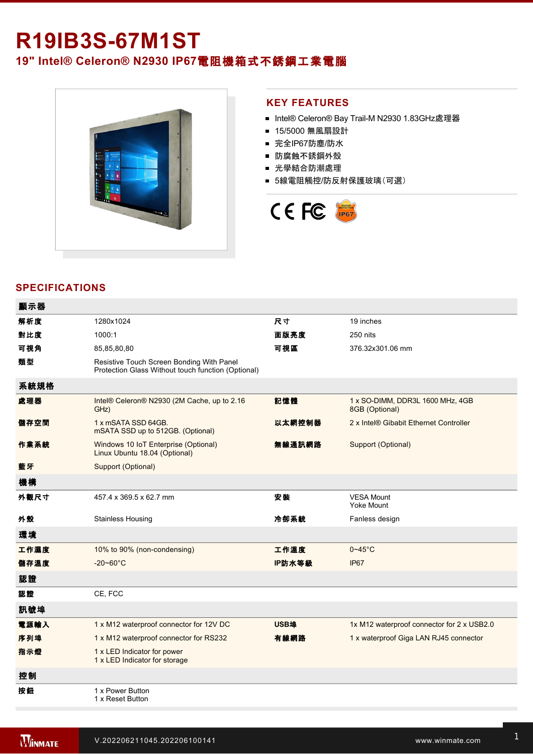# **R19IB3S-67M1ST 19" Intel® Celeron® N2930 IP67**電阻機箱式不銹鋼工業電腦



### **KEY FEATURES**

- Intel® Celeron® Bay Trail-M N2930 1.83GHz處理器
- 15/5000 無風扇設計
- 完全IP67防塵/防水
- 防腐蝕不銹鋼外殼
- 光學結合防潮處理
- 5線電阻觸控/防反射保護玻璃(可選)



# **SPECIFICATIONS**

| 顯示器  |                                                                                                 |        |                                                    |
|------|-------------------------------------------------------------------------------------------------|--------|----------------------------------------------------|
| 解析度  | 1280x1024                                                                                       | 尺寸     | 19 inches                                          |
| 對比度  | 1000:1                                                                                          | 面版亮度   | 250 nits                                           |
| 可視角  | 85,85,80,80                                                                                     | 可視區    | 376.32x301.06 mm                                   |
| 類型   | Resistive Touch Screen Bonding With Panel<br>Protection Glass Without touch function (Optional) |        |                                                    |
| 系統規格 |                                                                                                 |        |                                                    |
| 處理器  | Intel® Celeron® N2930 (2M Cache, up to 2.16<br>GHz)                                             | 記憶體    | 1 x SO-DIMM, DDR3L 1600 MHz, 4GB<br>8GB (Optional) |
| 儲存空間 | 1 x mSATA SSD 64GB.<br>mSATA SSD up to 512GB. (Optional)                                        | 以太網控制器 | 2 x Intel® Gibabit Ethernet Controller             |
| 作業系統 | Windows 10 IoT Enterprise (Optional)<br>Linux Ubuntu 18.04 (Optional)                           | 無線通訊網路 | Support (Optional)                                 |
| 藍牙   | Support (Optional)                                                                              |        |                                                    |
| 機構   |                                                                                                 |        |                                                    |
| 外觀尺寸 | 457.4 x 369.5 x 62.7 mm                                                                         | 安装     | <b>VESA Mount</b><br><b>Yoke Mount</b>             |
| 外殼   | <b>Stainless Housing</b>                                                                        | 冷卻系統   | Fanless design                                     |
| 環境   |                                                                                                 |        |                                                    |
| 工作濕度 | 10% to 90% (non-condensing)                                                                     | 工作溫度   | $0 - 45$ °C                                        |
| 儲存溫度 | $-20 - 60^{\circ}C$                                                                             | IP防水等級 | IP67                                               |
| 認證   |                                                                                                 |        |                                                    |
| 認證   | CE, FCC                                                                                         |        |                                                    |
| 訊號埠  |                                                                                                 |        |                                                    |
| 電源輸入 | 1 x M12 waterproof connector for 12V DC                                                         | USB埠   | 1x M12 waterproof connector for 2 x USB2.0         |
| 序列埠  | 1 x M12 waterproof connector for RS232                                                          | 有線網路   | 1 x waterproof Giga LAN RJ45 connector             |
| 指示燈  | 1 x LED Indicator for power<br>1 x LED Indicator for storage                                    |        |                                                    |
| 控制   |                                                                                                 |        |                                                    |
| 按鈕   | 1 x Power Button<br>1 x Reset Button                                                            |        |                                                    |
|      |                                                                                                 |        |                                                    |

配件

 $\mathcal{L}_{\mathcal{L}}$  and  $\mathcal{L}_{\mathcal{L}}$  cable with waterproof connector with waterproof connector  $\mathcal{L}_{\mathcal{L}}$ 

 $\mathcal{L}^2$  100  $\mathcal{L}^2$  and with waterproof with waterproof with waterproof with waterproof with waterproof with waterproof with waterproof with  $\mathcal{L}^2$